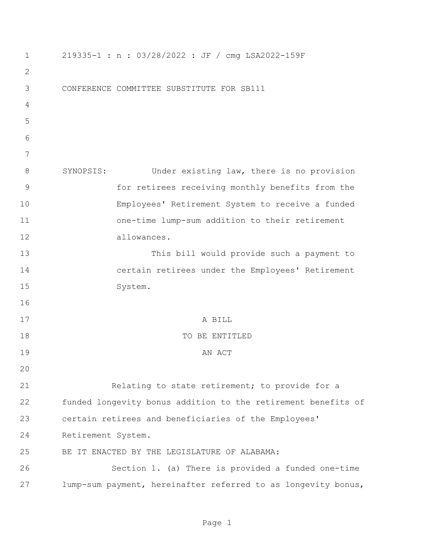| $\mathbf 1$  | 219335-1 : n : 03/28/2022 : JF / cmg LSA2022-159F             |
|--------------|---------------------------------------------------------------|
| $\mathbf{2}$ |                                                               |
| 3            | CONFERENCE COMMITTEE SUBSTITUTE FOR SB111                     |
| 4            |                                                               |
| 5            |                                                               |
| 6            |                                                               |
| 7            |                                                               |
| 8            | SYNOPSIS:<br>Under existing law, there is no provision        |
| 9            | for retirees receiving monthly benefits from the              |
| 10           | Employees' Retirement System to receive a funded              |
| 11           | one-time lump-sum addition to their retirement                |
| 12           | allowances.                                                   |
| 13           | This bill would provide such a payment to                     |
| 14           | certain retirees under the Employees' Retirement              |
| 15           | System.                                                       |
| 16           |                                                               |
| 17           | A BILL                                                        |
| 18           | TO BE ENTITLED                                                |
| 19           | AN ACT                                                        |
| 20           |                                                               |
| 21           | Relating to state retirement; to provide for a                |
| 22           | funded longevity bonus addition to the retirement benefits of |
| 23           | certain retirees and beneficiaries of the Employees'          |
| 24           | Retirement System.                                            |
| 25           | BE IT ENACTED BY THE LEGISLATURE OF ALABAMA:                  |
| 26           | Section 1. (a) There is provided a funded one-time            |
| 27           | lump-sum payment, hereinafter referred to as longevity bonus, |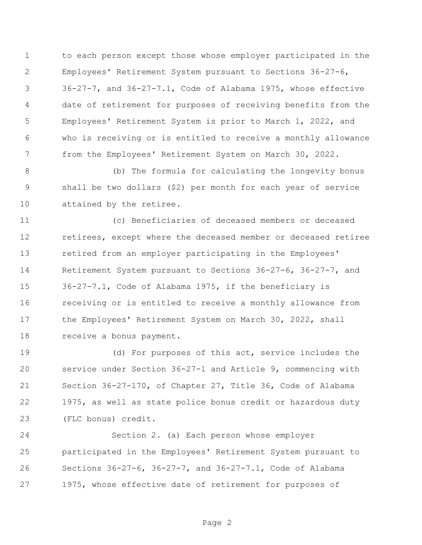to each person except those whose employer participated in the Employees' Retirement System pursuant to Sections 36-27-6, 36-27-7, and 36-27-7.1, Code of Alabama 1975, whose effective date of retirement for purposes of receiving benefits from the Employees' Retirement System is prior to March 1, 2022, and who is receiving or is entitled to receive a monthly allowance from the Employees' Retirement System on March 30, 2022.

 (b) The formula for calculating the longevity bonus shall be two dollars (\$2) per month for each year of service attained by the retiree.

 (c) Beneficiaries of deceased members or deceased retirees, except where the deceased member or deceased retiree retired from an employer participating in the Employees' Retirement System pursuant to Sections 36-27-6, 36-27-7, and 36-27-7.1, Code of Alabama 1975, if the beneficiary is receiving or is entitled to receive a monthly allowance from the Employees' Retirement System on March 30, 2022, shall receive a bonus payment.

 (d) For purposes of this act, service includes the service under Section 36-27-1 and Article 9, commencing with Section 36-27-170, of Chapter 27, Title 36, Code of Alabama 1975, as well as state police bonus credit or hazardous duty (FLC bonus) credit.

 Section 2. (a) Each person whose employer participated in the Employees' Retirement System pursuant to Sections 36-27-6, 36-27-7, and 36-27-7.1, Code of Alabama 1975, whose effective date of retirement for purposes of

Page 2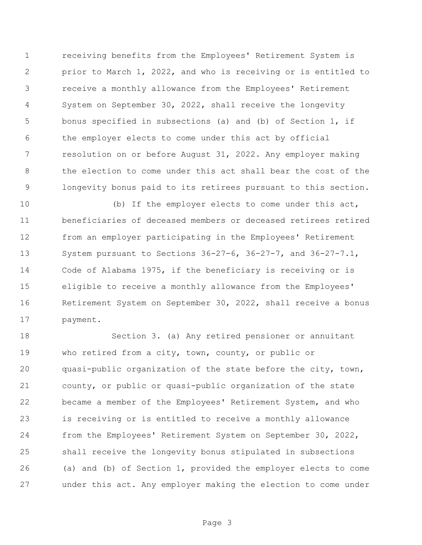receiving benefits from the Employees' Retirement System is prior to March 1, 2022, and who is receiving or is entitled to receive a monthly allowance from the Employees' Retirement System on September 30, 2022, shall receive the longevity bonus specified in subsections (a) and (b) of Section 1, if the employer elects to come under this act by official resolution on or before August 31, 2022. Any employer making the election to come under this act shall bear the cost of the longevity bonus paid to its retirees pursuant to this section.

 (b) If the employer elects to come under this act, beneficiaries of deceased members or deceased retirees retired from an employer participating in the Employees' Retirement System pursuant to Sections 36-27-6, 36-27-7, and 36-27-7.1, Code of Alabama 1975, if the beneficiary is receiving or is eligible to receive a monthly allowance from the Employees' Retirement System on September 30, 2022, shall receive a bonus payment.

 Section 3. (a) Any retired pensioner or annuitant who retired from a city, town, county, or public or quasi-public organization of the state before the city, town, county, or public or quasi-public organization of the state became a member of the Employees' Retirement System, and who is receiving or is entitled to receive a monthly allowance from the Employees' Retirement System on September 30, 2022, shall receive the longevity bonus stipulated in subsections (a) and (b) of Section 1, provided the employer elects to come under this act. Any employer making the election to come under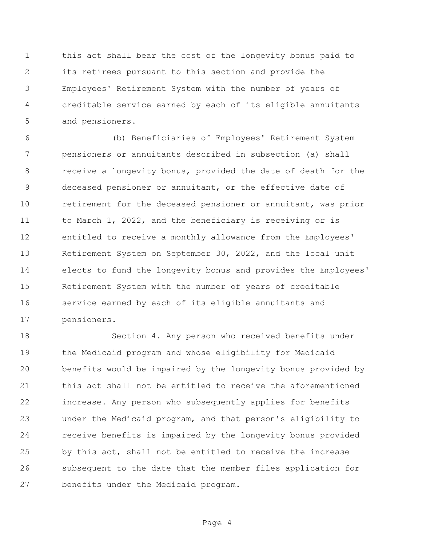this act shall bear the cost of the longevity bonus paid to its retirees pursuant to this section and provide the Employees' Retirement System with the number of years of creditable service earned by each of its eligible annuitants and pensioners.

 (b) Beneficiaries of Employees' Retirement System pensioners or annuitants described in subsection (a) shall receive a longevity bonus, provided the date of death for the deceased pensioner or annuitant, or the effective date of retirement for the deceased pensioner or annuitant, was prior 11 to March 1, 2022, and the beneficiary is receiving or is entitled to receive a monthly allowance from the Employees' Retirement System on September 30, 2022, and the local unit elects to fund the longevity bonus and provides the Employees' Retirement System with the number of years of creditable service earned by each of its eligible annuitants and pensioners.

 Section 4. Any person who received benefits under the Medicaid program and whose eligibility for Medicaid benefits would be impaired by the longevity bonus provided by this act shall not be entitled to receive the aforementioned increase. Any person who subsequently applies for benefits under the Medicaid program, and that person's eligibility to receive benefits is impaired by the longevity bonus provided by this act, shall not be entitled to receive the increase subsequent to the date that the member files application for benefits under the Medicaid program.